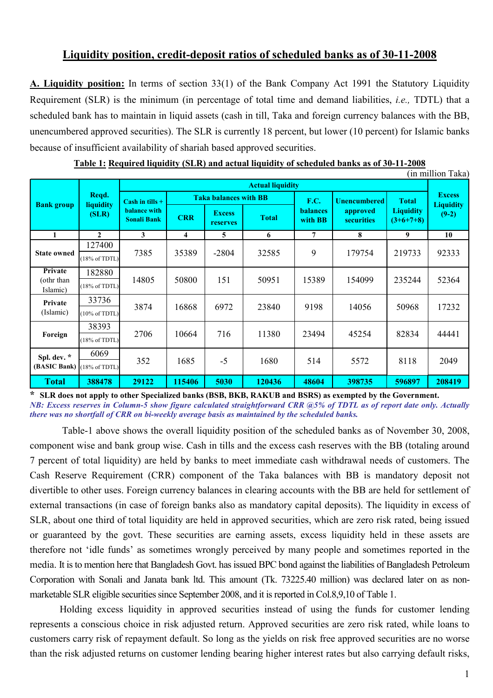## Liquidity position, credit-deposit ratios of scheduled banks as of 30-11-2008

A. Liquidity position: In terms of section 33(1) of the Bank Company Act 1991 the Statutory Liquidity Requirement (SLR) is the minimum (in percentage of total time and demand liabilities, *i.e.*, TDTL) that a scheduled bank has to maintain in liquid assets (cash in till, Taka and foreign currency balances with the BB, unencumbered approved securities). The SLR is currently 18 percent, but lower (10 percent) for Islamic banks because of insufficient availability of shariah based approved securities.

|                                           |                                    |                                                                |                              |                           |              |                            |                               |                                 | (in million Taka)           |
|-------------------------------------------|------------------------------------|----------------------------------------------------------------|------------------------------|---------------------------|--------------|----------------------------|-------------------------------|---------------------------------|-----------------------------|
| <b>Bank group</b>                         | Reqd.<br>liquidity<br>(SLR)        | <b>Actual liquidity</b>                                        |                              |                           |              |                            |                               |                                 |                             |
|                                           |                                    | Cash in tills $+$<br><b>balance</b> with<br><b>Sonali Bank</b> | <b>Taka balances with BB</b> |                           |              | <b>F.C.</b>                | <b>Unencumbered</b>           | <b>Total</b>                    | <b>Excess</b>               |
|                                           |                                    |                                                                | <b>CRR</b>                   | <b>Excess</b><br>reserves | <b>Total</b> | <b>balances</b><br>with BB | approved<br><b>securities</b> | <b>Liquidity</b><br>$(3+6+7+8)$ | <b>Liquidity</b><br>$(9-2)$ |
| 1                                         | $\mathbf{2}$                       | 3                                                              | 4                            | 5                         | 6            | 7                          | 8                             | 9                               | 10                          |
| <b>State owned</b>                        | 127400<br>$(18\% \text{ of TDTL})$ | 7385                                                           | 35389                        | $-2804$                   | 32585        | 9                          | 179754                        | 219733                          | 92333                       |
| Private<br>(othr than<br>Islamic)         | 182880<br>$(18\% \text{ of TDTL})$ | 14805                                                          | 50800                        | 151                       | 50951        | 15389                      | 154099                        | 235244                          | 52364                       |
| Private<br>(Islamic)                      | 33736<br>$(10\% \text{ of TDTL})$  | 3874                                                           | 16868                        | 6972                      | 23840        | 9198                       | 14056                         | 50968                           | 17232                       |
| Foreign                                   | 38393<br>$(18\% \text{ of TDTL})$  | 2706                                                           | 10664                        | 716                       | 11380        | 23494                      | 45254                         | 82834                           | 44441                       |
| Spl. dev. *<br>(BASIC Bank) (18% of TDTL) | 6069                               | 352                                                            | 1685                         | $-5$                      | 1680         | 514                        | 5572                          | 8118                            | 2049                        |
| <b>Total</b>                              | 388478                             | 29122                                                          | 115406                       | 5030                      | 120436       | 48604                      | 398735                        | 596897                          | 208419                      |

Table 1: Required liquidity (SLR) and actual liquidity of scheduled banks as of 30-11-2008

\* SLR does not apply to other Specialized banks (BSB, BKB, RAKUB and BSRS) as exempted by the Government. NB: Excess reserves in Column-5 show figure calculated straightforward CRR @5% of TDTL as of report date only. Actually there was no shortfall of CRR on bi-weekly average basis as maintained by the scheduled banks.

 Table-1 above shows the overall liquidity position of the scheduled banks as of November 30, 2008, component wise and bank group wise. Cash in tills and the excess cash reserves with the BB (totaling around 7 percent of total liquidity) are held by banks to meet immediate cash withdrawal needs of customers. The Cash Reserve Requirement (CRR) component of the Taka balances with BB is mandatory deposit not divertible to other uses. Foreign currency balances in clearing accounts with the BB are held for settlement of external transactions (in case of foreign banks also as mandatory capital deposits). The liquidity in excess of SLR, about one third of total liquidity are held in approved securities, which are zero risk rated, being issued or guaranteed by the govt. These securities are earning assets, excess liquidity held in these assets are therefore not 'idle funds' as sometimes wrongly perceived by many people and sometimes reported in the media. It is to mention here that Bangladesh Govt. has issued BPC bond against the liabilities of Bangladesh Petroleum Corporation with Sonali and Janata bank ltd. This amount (Tk. 73225.40 million) was declared later on as nonmarketable SLR eligible securities since September 2008, and it is reported in Col.8,9,10 of Table 1.

Holding excess liquidity in approved securities instead of using the funds for customer lending represents a conscious choice in risk adjusted return. Approved securities are zero risk rated, while loans to customers carry risk of repayment default. So long as the yields on risk free approved securities are no worse than the risk adjusted returns on customer lending bearing higher interest rates but also carrying default risks,